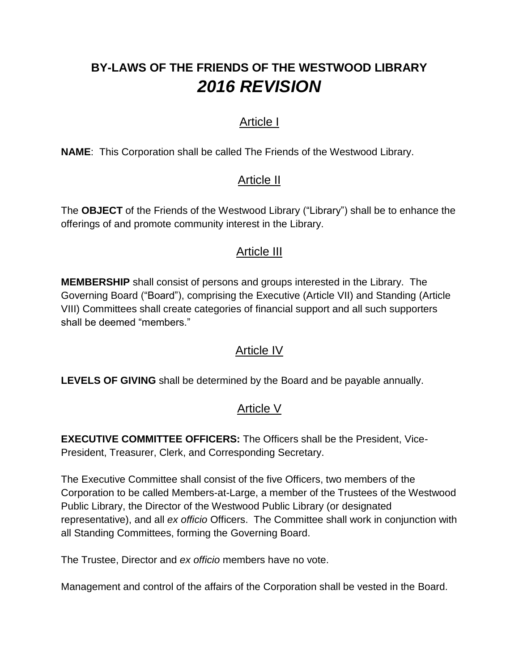# **BY-LAWS OF THE FRIENDS OF THE WESTWOOD LIBRARY** *2016 REVISION*

## Article I

**NAME**: This Corporation shall be called The Friends of the Westwood Library.

## Article II

The **OBJECT** of the Friends of the Westwood Library ("Library") shall be to enhance the offerings of and promote community interest in the Library.

## Article III

**MEMBERSHIP** shall consist of persons and groups interested in the Library. The Governing Board ("Board"), comprising the Executive (Article VII) and Standing (Article VIII) Committees shall create categories of financial support and all such supporters shall be deemed "members."

## Article IV

**LEVELS OF GIVING** shall be determined by the Board and be payable annually.

# Article V

**EXECUTIVE COMMITTEE OFFICERS:** The Officers shall be the President, Vice-President, Treasurer, Clerk, and Corresponding Secretary.

The Executive Committee shall consist of the five Officers, two members of the Corporation to be called Members-at-Large, a member of the Trustees of the Westwood Public Library, the Director of the Westwood Public Library (or designated representative), and all *ex officio* Officers. The Committee shall work in conjunction with all Standing Committees, forming the Governing Board.

The Trustee, Director and *ex officio* members have no vote.

Management and control of the affairs of the Corporation shall be vested in the Board.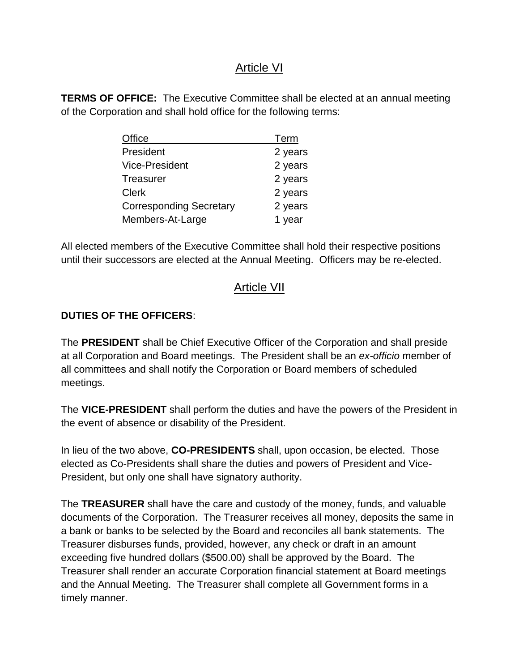#### Article VI

**TERMS OF OFFICE:** The Executive Committee shall be elected at an annual meeting of the Corporation and shall hold office for the following terms:

| Office                         | Term    |
|--------------------------------|---------|
| President                      | 2 years |
| Vice-President                 | 2 years |
| <b>Treasurer</b>               | 2 years |
| <b>Clerk</b>                   | 2 years |
| <b>Corresponding Secretary</b> | 2 years |
| Members-At-Large               | 1 year  |

All elected members of the Executive Committee shall hold their respective positions until their successors are elected at the Annual Meeting. Officers may be re-elected.

## **Article VII**

#### **DUTIES OF THE OFFICERS**:

The **PRESIDENT** shall be Chief Executive Officer of the Corporation and shall preside at all Corporation and Board meetings. The President shall be an *ex-officio* member of all committees and shall notify the Corporation or Board members of scheduled meetings.

The **VICE-PRESIDENT** shall perform the duties and have the powers of the President in the event of absence or disability of the President.

In lieu of the two above, **CO-PRESIDENTS** shall, upon occasion, be elected. Those elected as Co-Presidents shall share the duties and powers of President and Vice-President, but only one shall have signatory authority.

The **TREASURER** shall have the care and custody of the money, funds, and valuable documents of the Corporation. The Treasurer receives all money, deposits the same in a bank or banks to be selected by the Board and reconciles all bank statements. The Treasurer disburses funds, provided, however, any check or draft in an amount exceeding five hundred dollars (\$500.00) shall be approved by the Board. The Treasurer shall render an accurate Corporation financial statement at Board meetings and the Annual Meeting. The Treasurer shall complete all Government forms in a timely manner.